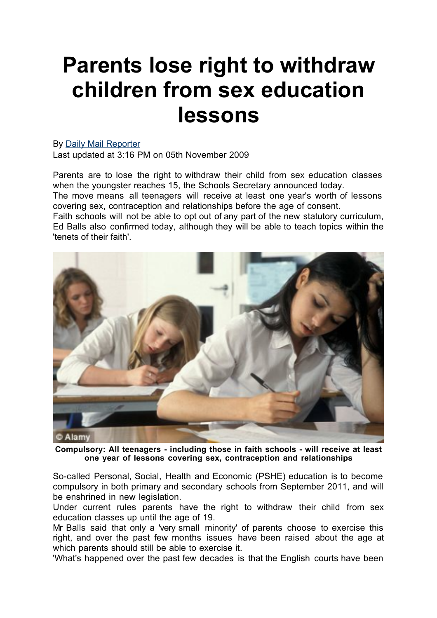## **Parents lose right to withdraw children from sex education lessons**

## By Daily Mail Reporter

Last updated at 3:16 PM on 05th November 2009

Parents are to lose the right to withdraw their child from sex education classes when the youngster reaches 15, the Schools Secretary announced today.

The move means all teenagers will receive at least one year's worth of lessons covering sex, contraception and relationships before the age of consent.

Faith schools will not be able to opt out of any part of the new statutory curriculum, Ed Balls also confirmed today, although they will be able to teach topics within the 'tenets of their faith'.



**Compulsory: All teenagers - including those in faith schools - will receive at least one year of lessons covering sex, contraception and relationships**

So-called Personal, Social, Health and Economic (PSHE) education is to become compulsory in both primary and secondary schools from September 2011, and will be enshrined in new legislation.

Under current rules parents have the right to withdraw their child from sex education classes up until the age of 19.

Mr Balls said that only a 'very small minority' of parents choose to exercise this right, and over the past few months issues have been raised about the age at which parents should still be able to exercise it.

'What's happened over the past few decades is that the English courts have been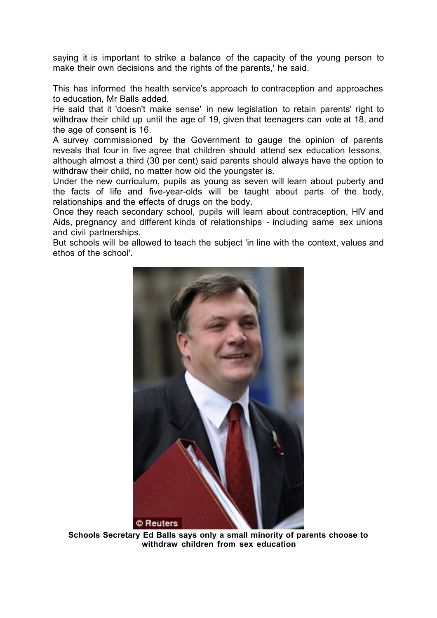saying it is important to strike a balance of the capacity of the young person to make their own decisions and the rights of the parents,' he said.

This has informed the health service's approach to contraception and approaches to education, Mr Balls added.

He said that it 'doesn't make sense' in new legislation to retain parents' right to withdraw their child up until the age of 19, given that teenagers can vote at 18, and the age of consent is 16.

A survey commissioned by the Government to gauge the opinion of parents reveals that four in five agree that children should attend sex education lessons, although almost a third (30 per cent) said parents should always have the option to withdraw their child, no matter how old the youngster is.

Under the new curriculum, pupils as young as seven will learn about puberty and the facts of life and five-year-olds will be taught about parts of the body, relationships and the effects of drugs on the body.

Once they reach secondary school, pupils will learn about contraception, HIV and Aids, pregnancy and different kinds of relationships - including same sex unions and civil partnerships.

But schools will be allowed to teach the subject 'in line with the context, values and ethos of the school'.



**Schools Secretary Ed Balls says only a small minority of parents choose to withdraw children from sex education**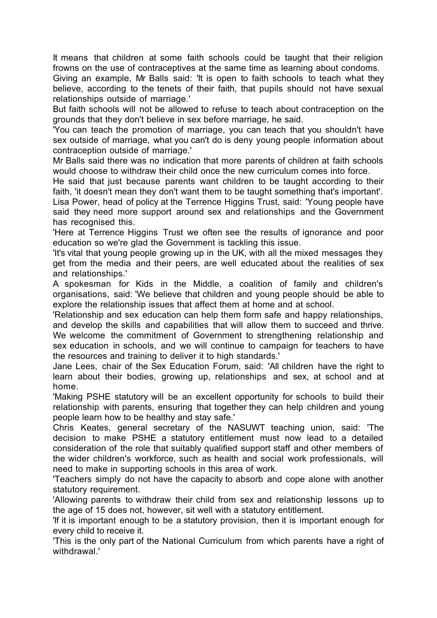It means that children at some faith schools could be taught that their religion frowns on the use of contraceptives at the same time as learning about condoms.

Giving an example, Mr Balls said: 'It is open to faith schools to teach what they believe, according to the tenets of their faith, that pupils should not have sexual relationships outside of marriage.'

But faith schools will not be allowed to refuse to teach about contraception on the grounds that they don't believe in sex before marriage, he said.

'You can teach the promotion of marriage, you can teach that you shouldn't have sex outside of marriage, what you can't do is deny young people information about contraception outside of marriage.'

Mr Balls said there was no indication that more parents of children at faith schools would choose to withdraw their child once the new curriculum comes into force.

He said that just because parents want children to be taught according to their faith, 'it doesn't mean they don't want them to be taught something that's important'.

Lisa Power, head of policy at the Terrence Higgins Trust, said: 'Young people have said they need more support around sex and relationships and the Government has recognised this.

'Here at Terrence Higgins Trust we often see the results of ignorance and poor education so we're glad the Government is tackling this issue.

'It's vital that young people growing up in the UK, with all the mixed messages they get from the media and their peers, are well educated about the realities of sex and relationships.'

A spokesman for Kids in the Middle, a coalition of family and children's organisations, said: 'We believe that children and young people should be able to explore the relationship issues that affect them at home and at school.

'Relationship and sex education can help them form safe and happy relationships, and develop the skills and capabilities that will allow them to succeed and thrive. We welcome the commitment of Government to strengthening relationship and sex education in schools, and we will continue to campaign for teachers to have the resources and training to deliver it to high standards.'

Jane Lees, chair of the Sex Education Forum, said: 'All children have the right to learn about their bodies, growing up, relationships and sex, at school and at home.

'Making PSHE statutory will be an excellent opportunity for schools to build their relationship with parents, ensuring that together they can help children and young people learn how to be healthy and stay safe.'

Chris Keates, general secretary of the NASUWT teaching union, said: 'The decision to make PSHE a statutory entitlement must now lead to a detailed consideration of the role that suitably qualified support staff and other members of the wider children's workforce, such as health and social work professionals, will need to make in supporting schools in this area of work.

'Teachers simply do not have the capacity to absorb and cope alone with another statutory requirement.

'Allowing parents to withdraw their child from sex and relationship lessons up to the age of 15 does not, however, sit well with a statutory entitlement.

'If it is important enough to be a statutory provision, then it is important enough for every child to receive it.

'This is the only part of the National Curriculum from which parents have a right of withdrawal<sup>'</sup>